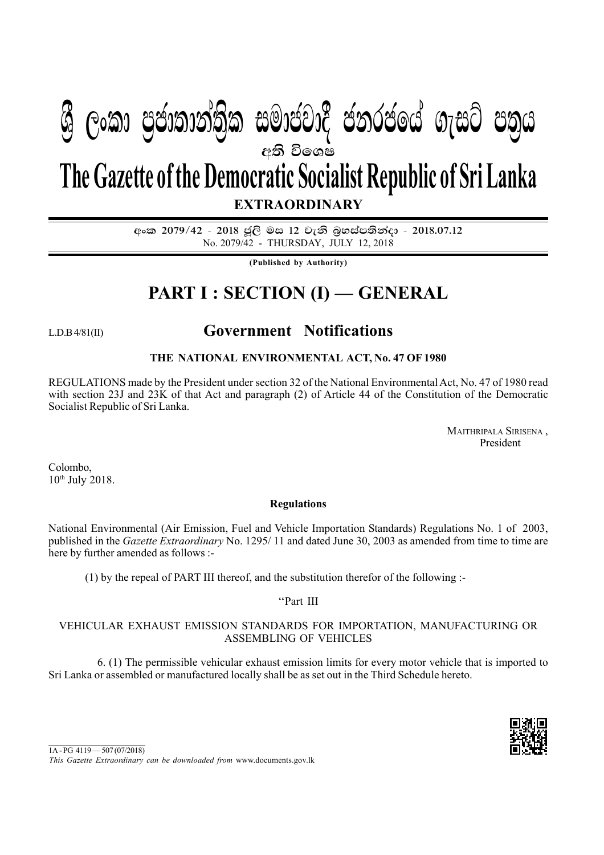# අති වි**ශෙ**ෂ **EXTRAORDINARY The Gazette of the Democratic Socialist Republic of Sri Lanka W Geibraid) (2019) and marital condem** algo chin

<u> අංක 2079/42 - 2018 ජලි මස 12 වැනි බූහස්පතින්දා - 2018.07.12</u> No. 2079/42 - THURSDAY, JULY 12, 2018

**(Published by Authority)**

## **PART I : SECTION (I) — GENERAL**

L.D.B 4/81(II)

### **Government Notifications**

#### **THE NATIONAL ENVIRONMENTAL ACT, No. 47 OF 1980**

REGULATIONS made by the President under section 32 of the National Environmental Act, No. 47 of 1980 read with section 23J and 23K of that Act and paragraph (2) of Article 44 of the Constitution of the Democratic Socialist Republic of Sri Lanka.

> MAITHRIPALA SIRISENA , President

Colombo, 10th July 2018.

#### **Regulations**

National Environmental (Air Emission, Fuel and Vehicle Importation Standards) Regulations No. 1 of 2003, published in the *Gazette Extraordinary* No. 1295/ 11 and dated June 30, 2003 as amended from time to time are here by further amended as follows :-

(1) by the repeal of PART III thereof, and the substitution therefor of the following :-

''Part III

#### VEHICULAR EXHAUST EMISSION STANDARDS FOR IMPORTATION, MANUFACTURING OR ASSEMBLING OF VEHICLES

6. (1) The permissible vehicular exhaust emission limits for every motor vehicle that is imported to Sri Lanka or assembled or manufactured locally shall be as set out in the Third Schedule hereto.



*This Gazette Extraordinary can be downloaded from* www.documents.gov.lk

 $1A - PG$  4119 — 507 (07/2018)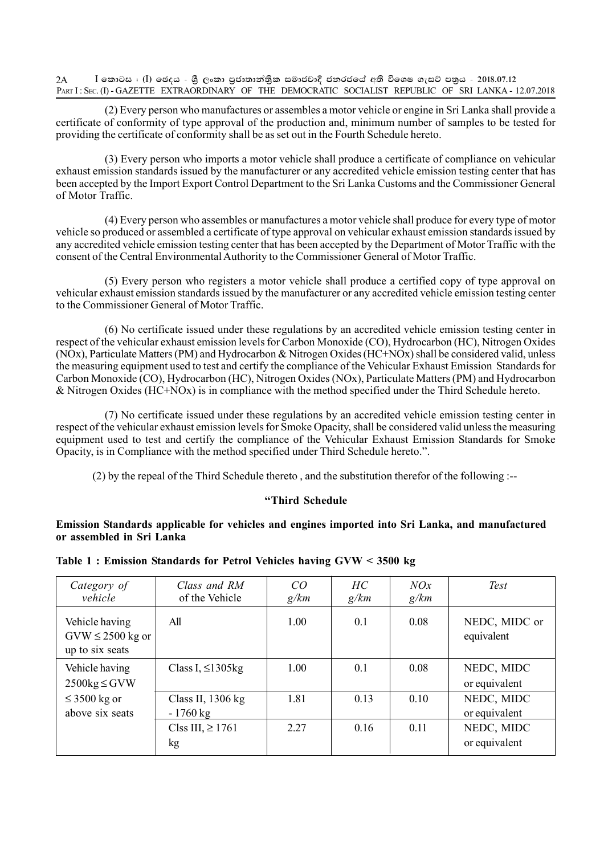$I$  කොටස : (I) ඡෙදය - ශීූ ලංකා පුජාතාන්තික සමාජවාදී ජනරජයේ අති විශෙෂ ගැසට් පතුය - 2018.07.12 PART I: SEC. (I) - GAZETTE EXTRAORDINARY OF THE DEMOCRATIC SOCIALIST REPUBLIC OF SRI LANKA - 12.07.2018 2A

(2) Every person who manufactures or assembles a motor vehicle or engine in Sri Lanka shall provide a certificate of conformity of type approval of the production and, minimum number of samples to be tested for providing the certificate of conformity shall be as set out in the Fourth Schedule hereto.

(3) Every person who imports a motor vehicle shall produce a certificate of compliance on vehicular exhaust emission standards issued by the manufacturer or any accredited vehicle emission testing center that has been accepted by the Import Export Control Department to the Sri Lanka Customs and the Commissioner General of Motor Traffic.

(4) Every person who assembles or manufactures a motor vehicle shall produce for every type of motor vehicle so produced or assembled a certificate of type approval on vehicular exhaust emission standards issued by any accredited vehicle emission testing center that has been accepted by the Department of Motor Traffic with the consent of the Central Environmental Authority to the Commissioner General of Motor Traffic.

(5) Every person who registers a motor vehicle shall produce a certified copy of type approval on vehicular exhaust emission standards issued by the manufacturer or any accredited vehicle emission testing center to the Commissioner General of Motor Traffic.

(6) No certificate issued under these regulations by an accredited vehicle emission testing center in respect of the vehicular exhaust emission levels for Carbon Monoxide (CO), Hydrocarbon (HC), Nitrogen Oxides (NOx), Particulate Matters (PM) and Hydrocarbon & Nitrogen Oxides (HC+NOx) shall be considered valid, unless the measuring equipment used to test and certify the compliance of the Vehicular Exhaust Emission Standards for Carbon Monoxide (CO), Hydrocarbon (HC), Nitrogen Oxides (NOx), Particulate Matters (PM) and Hydrocarbon & Nitrogen Oxides (HC+NOx) is in compliance with the method specified under the Third Schedule hereto.

(7) No certificate issued under these regulations by an accredited vehicle emission testing center in respect of the vehicular exhaust emission levels for Smoke Opacity, shall be considered valid unless the measuring equipment used to test and certify the compliance of the Vehicular Exhaust Emission Standards for Smoke Opacity, is in Compliance with the method specified under Third Schedule hereto.".

(2) by the repeal of the Third Schedule thereto , and the substitution therefor of the following :--

#### **''Third Schedule**

#### **Emission Standards applicable for vehicles and engines imported into Sri Lanka, and manufactured or assembled in Sri Lanka**

| Category of<br>vehicle                                    | Class and RM<br>of the Vehicle          | CO<br>g/km | HC<br>g/km | NOx<br>g/km | <b>Test</b>                 |
|-----------------------------------------------------------|-----------------------------------------|------------|------------|-------------|-----------------------------|
| Vehicle having<br>$GVW \le 2500$ kg or<br>up to six seats | All                                     | 1.00       | 0.1        | 0.08        | NEDC, MIDC or<br>equivalent |
| Vehicle having<br>$2500\text{kg} \leq \text{GVW}$         | Class I, $\leq$ 1305kg                  | 1.00       | 0.1        | 0.08        | NEDC, MIDC<br>or equivalent |
| $\leq$ 3500 kg or<br>above six seats                      | Class II, 1306 kg<br>$-1760 \text{ kg}$ | 1.81       | 0.13       | 0.10        | NEDC, MIDC<br>or equivalent |
|                                                           | Clss III, $\geq$ 1761<br>kg             | 2.27       | 0.16       | 0.11        | NEDC, MIDC<br>or equivalent |

#### **Table 1 : Emission Standards for Petrol Vehicles having GVW < 3500 kg**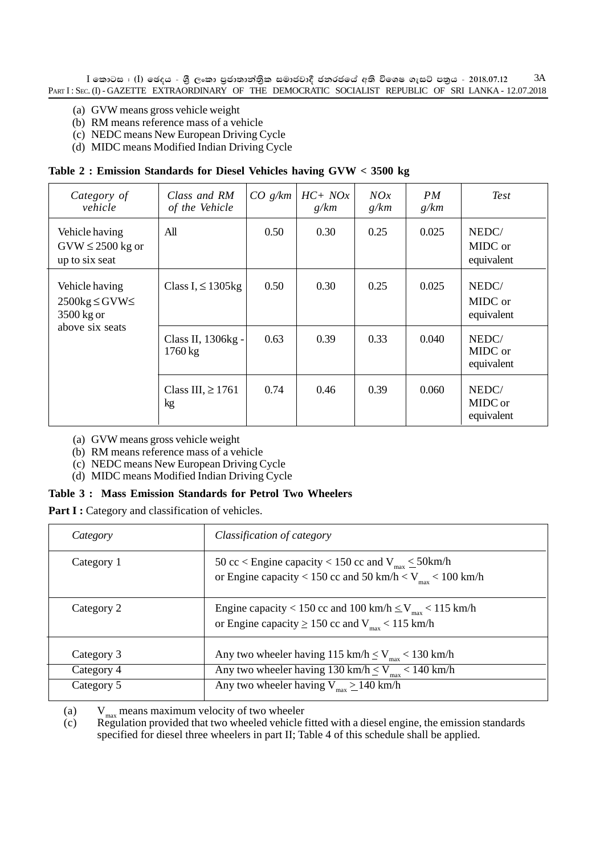$I$  කොටස : (I) ඡෙදය - ශී ලංකා පුජාතාන්තික සමාජවාදී ජනරජයේ අති විශෙෂ ගැසට් පතුය - 2018.07.12 PART I: SEC. (I) - GAZETTE EXTRAORDINARY OF THE DEMOCRATIC SOCIALIST REPUBLIC OF SRI LANKA - 12.07.2018 3A

- (a) GVW means gross vehicle weight
- (b) RM means reference mass of a vehicle
- (c) NEDC means New European Driving Cycle
- (d) MIDC means Modified Indian Driving Cycle

#### **Table 2 : Emission Standards for Diesel Vehicles having GVW < 3500 kg**

| Category of<br>vehicle                                     | Class and RM<br>of the Vehicle | $CO$ g/km | $HC+NOx$<br>g/km | NOx<br>g/km | PM<br>g/km | <b>Test</b>                    |
|------------------------------------------------------------|--------------------------------|-----------|------------------|-------------|------------|--------------------------------|
| Vehicle having<br>$GVW \leq 2500$ kg or<br>up to six seat  | All                            | 0.50      | 0.30             | 0.25        | 0.025      | NEDC/<br>MIDC or<br>equivalent |
| Vehicle having<br>$2500kg \leq$ GVW $\leq$<br>$3500$ kg or | Class I, $\leq$ 1305kg         | 0.50      | 0.30             | 0.25        | 0.025      | NEDC/<br>MIDC or<br>equivalent |
| above six seats                                            | Class II, 1306kg -<br>1760 kg  | 0.63      | 0.39             | 0.33        | 0.040      | NEDC/<br>MIDC or<br>equivalent |
|                                                            | Class III, $\geq$ 1761<br>kg   | 0.74      | 0.46             | 0.39        | 0.060      | NEDC/<br>MIDC or<br>equivalent |

(a) GVW means gross vehicle weight

(b) RM means reference mass of a vehicle

(c) NEDC means New European Driving Cycle

(d) MIDC means Modified Indian Driving Cycle

#### **Table 3 : Mass Emission Standards for Petrol Two Wheelers**

Part I : Category and classification of vehicles.

| Category   | Classification of category                                                                                                                      |
|------------|-------------------------------------------------------------------------------------------------------------------------------------------------|
| Category 1 | 50 cc < Engine capacity < 150 cc and $V_{\text{max}}$ $\leq$ 50 km/h<br>or Engine capacity < 150 cc and 50 km/h $\lt V_{\text{max}}$ < 100 km/h |
| Category 2 | Engine capacity < 150 cc and 100 km/h $\leq$ V <sub>max</sub> < 115 km/h<br>or Engine capacity $\geq 150$ cc and V <sub>max</sub> < 115 km/h    |
| Category 3 | Any two wheeler having 115 km/h $\leq$ V <sub>max</sub> $<$ 130 km/h                                                                            |
| Category 4 | Any two wheeler having 130 km/h $\leq$ V <sub>max</sub> $<$ 140 km/h                                                                            |
| Category 5 | Any two wheeler having $V_{\text{max}} \ge 140 \text{ km/h}$                                                                                    |

(a)  $V_{\text{max}}$  means maximum velocity of two wheeler<br>(c) Regulation provided that two wheeled vehicle 1 Regulation provided that two wheeled vehicle fitted with a diesel engine, the emission standards specified for diesel three wheelers in part II; Table 4 of this schedule shall be applied.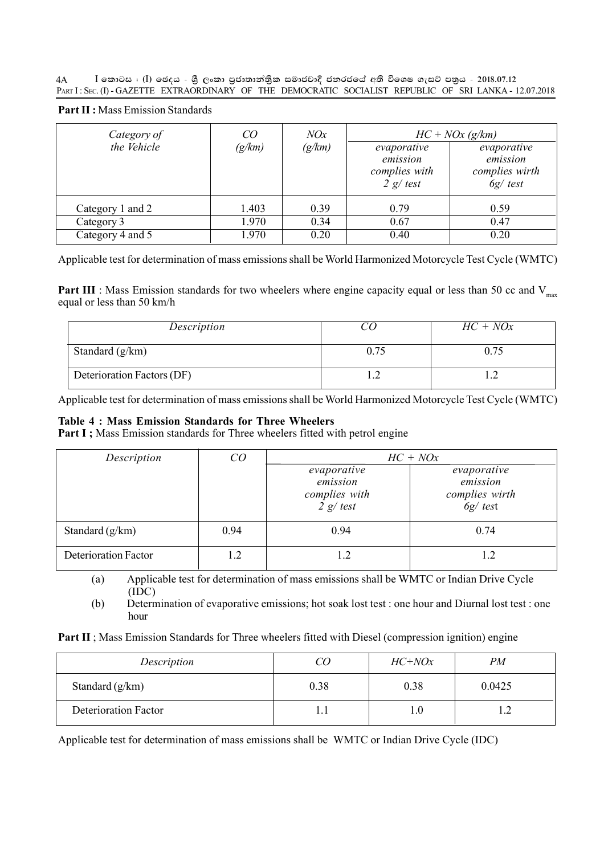$I$  කොටස : (I) ඡෙදය - ශීූ ලංකා පුජාතාන්තික සමාජවාදී ජනරජයේ අති විශෙෂ ගැසට් පතුය - 2018.07.12 PART I: SEC. (I) - GAZETTE EXTRAORDINARY OF THE DEMOCRATIC SOCIALIST REPUBLIC OF SRI LANKA - 12.07.2018 4A

#### Part II : Mass Emission Standards

| Category of<br>the Vehicle | CO<br>(g/km) | NOx<br>(g/km) | evaporative<br>emission<br>complies with<br>$2 g/ \text{test}$ | $HC + NOx$ (g/km)<br>evaporative<br>emission<br>complies wirth<br>$6g/$ test |
|----------------------------|--------------|---------------|----------------------------------------------------------------|------------------------------------------------------------------------------|
| Category 1 and 2           | 1.403        | 0.39          | 0.79                                                           | 0.59                                                                         |
| Category 3                 | 1.970        | 0.34          | 0.67                                                           | 0.47                                                                         |
| Category 4 and 5           | 1.970        | 0.20          | 0.40                                                           | 0.20                                                                         |

Applicable test for determination of mass emissions shall be World Harmonized Motorcycle Test Cycle (WMTC)

Part III : Mass Emission standards for two wheelers where engine capacity equal or less than 50 cc and V<sub>max</sub> equal or less than 50 km/h

| Description                |      | $HC + NOx$ |
|----------------------------|------|------------|
| Standard $(g/km)$          | 0.75 |            |
| Deterioration Factors (DF) |      |            |

Applicable test for determination of mass emissions shall be World Harmonized Motorcycle Test Cycle (WMTC)

#### **Table 4 : Mass Emission Standards for Three Wheelers**

Part I ; Mass Emission standards for Three wheelers fitted with petrol engine

| Description          | CO   | $HC + NOx$                                              |                                                        |  |  |  |
|----------------------|------|---------------------------------------------------------|--------------------------------------------------------|--|--|--|
|                      |      | evaporative<br>emission<br>complies with<br>$2$ g/ test | evaporative<br>emission<br>complies wirth<br>$6g$ test |  |  |  |
| Standard $(g/km)$    | 0.94 | 0.94                                                    | 0.74                                                   |  |  |  |
| Deterioration Factor | 12   | 12                                                      | 12                                                     |  |  |  |

(a) Applicable test for determination of mass emissions shall be WMTC or Indian Drive Cycle (IDC)

(b) Determination of evaporative emissions; hot soak lost test : one hour and Diurnal lost test : one hour

**Part II**; Mass Emission Standards for Three wheelers fitted with Diesel (compression ignition) engine

| Description          | CC.  | $HC+NOx$ | PM     |
|----------------------|------|----------|--------|
| Standard $(g/km)$    | 0.38 | 0.38     | 0.0425 |
| Deterioration Factor | 1.1  | l.O      |        |

Applicable test for determination of mass emissions shall be WMTC or Indian Drive Cycle (IDC)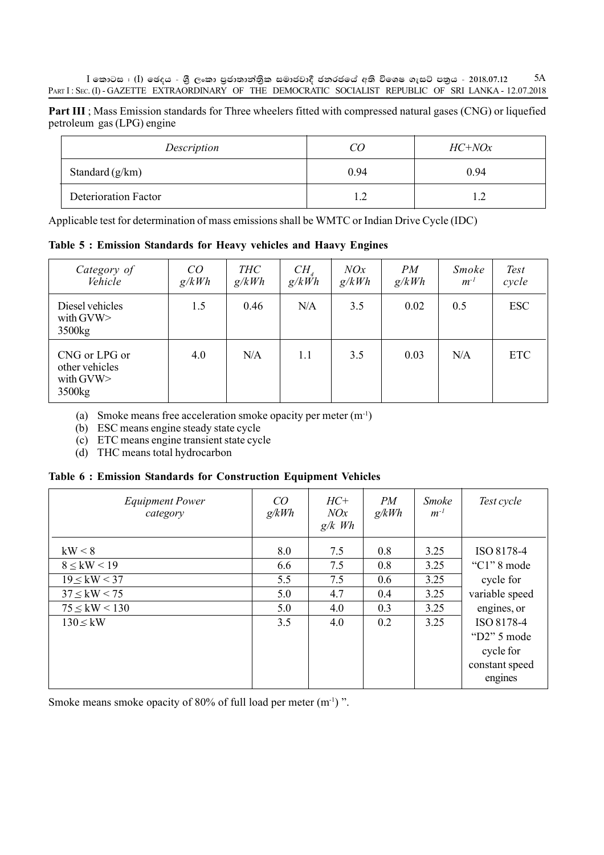$I$  කොටස : (I) ඡෙදය - ශීූ ලංකා පුජාතාන්තිුක සමාජවාදී ජනරජයේ අති විශෙෂ ගැසට් පතුය - 2018.07.12 PART I: SEC. (I) - GAZETTE EXTRAORDINARY OF THE DEMOCRATIC SOCIALIST REPUBLIC OF SRI LANKA - 12.07.2018 5A

**Part III**; Mass Emission standards for Three wheelers fitted with compressed natural gases (CNG) or liquefied petroleum gas (LPG) engine

| Description                 | CO   | $HC+NOx$ |
|-----------------------------|------|----------|
| Standard $(g/km)$           | 0.94 | 0.94     |
| <b>Deterioration Factor</b> |      |          |

Applicable test for determination of mass emissions shall be WMTC or Indian Drive Cycle (IDC)

**Table 5 : Emission Standards for Heavy vehicles and Haavy Engines**

| Category of<br>Vehicle                                               | CO<br>g/kWh | <b>THC</b><br>g/kWh | $CH_{\Lambda}$<br>g/kWh | NOx<br>g/kWh | PM<br>g/kWh | <i><b>Smoke</b></i><br>$m^{-1}$ | <b>Test</b><br>cycle |
|----------------------------------------------------------------------|-------------|---------------------|-------------------------|--------------|-------------|---------------------------------|----------------------|
| Diesel vehicles<br>with $GVW>$<br>3500 <sub>kg</sub>                 | 1.5         | 0.46                | N/A                     | 3.5          | 0.02        | 0.5                             | <b>ESC</b>           |
| CNG or LPG or<br>other vehicles<br>with $GVW>$<br>3500 <sub>kg</sub> | 4.0         | N/A                 | 1.1                     | 3.5          | 0.03        | N/A                             | <b>ETC</b>           |

(a) Smoke means free acceleration smoke opacity per meter  $(m^{-1})$ 

(b) ESC means engine steady state cycle

(c) ETC means engine transient state cycle

(d) THC means total hydrocarbon

#### **Table 6 : Emission Standards for Construction Equipment Vehicles**

| <b>Equipment Power</b><br>category | CO<br>g/kWh | $HC+$<br>NOx<br>$g/k$ Wh | PM<br>g/kWh | <b>Smoke</b><br>$m^{-1}$ | Test cycle      |
|------------------------------------|-------------|--------------------------|-------------|--------------------------|-----------------|
| kW < 8                             | 8.0         | 7.5                      | 0.8         | 3.25                     | ISO 8178-4      |
| $8 \leq$ kW $< 19$                 | 6.6         | 7.5                      | 0.8         | 3.25                     | " $C1$ " 8 mode |
| $19 \leq$ kW < 37                  | 5.5         | 7.5                      | 0.6         | 3.25                     | cycle for       |
| $37 \leq {\rm kW} \leq 75$         | 5.0         | 4.7                      | 0.4         | 3.25                     | variable speed  |
| $75 \leq$ kW < 130                 | 5.0         | 4.0                      | 0.3         | 3.25                     | engines, or     |
| $130 \leq kW$                      | 3.5         | 4.0                      | 0.2         | 3.25                     | ISO 8178-4      |
|                                    |             |                          |             |                          | " $D2$ " 5 mode |
|                                    |             |                          |             |                          | cycle for       |
|                                    |             |                          |             |                          | constant speed  |
|                                    |             |                          |             |                          | engines         |

Smoke means smoke opacity of 80% of full load per meter (m<sup>-1</sup>)".